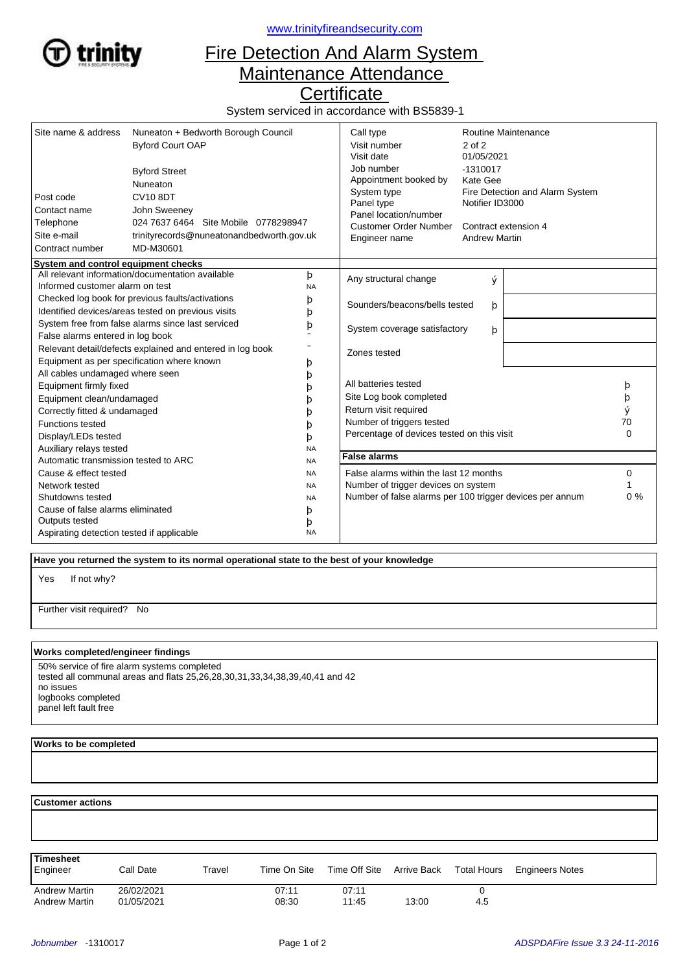

<www.trinityfireandsecurity.com>

## Fire Detection And Alarm System Maintenance Attendance

**Certificate** 

System serviced in accordance with BS5839-1

| Site name & address                                                   | Nuneaton + Bedworth Borough Council | Call type                    | <b>Routine Maintenance</b>                                      |                                 |   |                       |
|-----------------------------------------------------------------------|-------------------------------------|------------------------------|-----------------------------------------------------------------|---------------------------------|---|-----------------------|
|                                                                       | <b>Byford Court OAP</b>             |                              | Visit number                                                    | 2 of 2                          |   |                       |
|                                                                       |                                     |                              | Visit date                                                      | 01/05/2021                      |   |                       |
|                                                                       | <b>Byford Street</b>                |                              | Job number                                                      | $-1310017$                      |   |                       |
|                                                                       | Nuneaton                            |                              | Appointment booked by                                           | Kate Gee                        |   |                       |
| Post code                                                             | <b>CV10 8DT</b>                     |                              | System type                                                     | Fire Detection and Alarm System |   |                       |
|                                                                       |                                     | Panel type                   | Notifier ID3000<br>Contract extension 4<br><b>Andrew Martin</b> |                                 |   |                       |
| Contact name<br>John Sweeney<br>024 7637 6464 Site Mobile 0778298947  |                                     |                              |                                                                 |                                 |   | Panel location/number |
| Telephone<br>Site e-mail<br>trinityrecords@nuneatonandbedworth.gov.uk |                                     | <b>Customer Order Number</b> |                                                                 |                                 |   |                       |
|                                                                       |                                     | Engineer name                |                                                                 |                                 |   |                       |
| Contract number                                                       | MD-M30601                           |                              |                                                                 |                                 |   |                       |
| System and control equipment checks                                   |                                     |                              |                                                                 |                                 |   |                       |
| All relevant information/documentation available<br>þ                 |                                     |                              | Any structural change                                           | ý                               |   |                       |
| Informed customer alarm on test                                       |                                     | <b>NA</b>                    |                                                                 |                                 |   |                       |
| Checked log book for previous faults/activations                      |                                     | þ                            | Sounders/beacons/bells tested                                   | þ                               |   |                       |
| Identified devices/areas tested on previous visits                    |                                     | þ                            |                                                                 |                                 |   |                       |
| System free from false alarms since last serviced                     |                                     | þ                            | System coverage satisfactory                                    | þ                               |   |                       |
| False alarms entered in log book                                      |                                     |                              |                                                                 |                                 |   |                       |
| Relevant detail/defects explained and entered in log book             |                                     |                              | Zones tested                                                    |                                 |   |                       |
| Equipment as per specification where known                            |                                     | þ                            |                                                                 |                                 |   |                       |
| All cables undamaged where seen                                       |                                     | þ                            |                                                                 |                                 |   |                       |
| Equipment firmly fixed                                                |                                     |                              | All batteries tested                                            |                                 | þ |                       |
| Equipment clean/undamaged                                             |                                     | b                            | Site Log book completed                                         |                                 |   | þ                     |
| Correctly fitted & undamaged                                          |                                     |                              | Return visit required                                           |                                 |   | ý                     |
| <b>Functions tested</b>                                               |                                     | b                            | Number of triggers tested                                       |                                 |   | 70                    |
| Display/LEDs tested                                                   |                                     | b                            | Percentage of devices tested on this visit                      |                                 |   | $\Omega$              |
| Auxiliary relays tested                                               |                                     | <b>NA</b>                    |                                                                 |                                 |   |                       |
| Automatic transmission tested to ARC                                  |                                     | <b>NA</b>                    | <b>False alarms</b>                                             |                                 |   |                       |
| Cause & effect tested                                                 |                                     | <b>NA</b>                    | False alarms within the last 12 months                          |                                 |   | 0                     |
| Network tested                                                        |                                     | <b>NA</b>                    | Number of trigger devices on system                             |                                 |   |                       |
| Shutdowns tested                                                      |                                     | <b>NA</b>                    | Number of false alarms per 100 trigger devices per annum        |                                 |   | $0\%$                 |
| Cause of false alarms eliminated                                      |                                     | þ                            |                                                                 |                                 |   |                       |
| Outputs tested                                                        |                                     | þ                            |                                                                 |                                 |   |                       |
| Aspirating detection tested if applicable                             |                                     | <b>NA</b>                    |                                                                 |                                 |   |                       |

 **Have you returned the system to its normal operational state to the best of your knowledge**

If not why? Yes

Further visit required? No

## **Works completed/engineer findings**

50% service of fire alarm systems completed tested all communal areas and flats 25,26,28,30,31,33,34,38,39,40,41 and 42 no issues logbooks completed panel left fault free

## **Works to be completed**

 **Customer actions**

| Timesheet<br>Engineer | Call Date  | Travel | Time On Site | Time Off Site | Arrive Back | <b>Total Hours</b> | <b>Engineers Notes</b> |  |
|-----------------------|------------|--------|--------------|---------------|-------------|--------------------|------------------------|--|
| <b>Andrew Martin</b>  | 26/02/2021 |        | 07:11        | 07:11         |             |                    |                        |  |
| <b>Andrew Martin</b>  | 01/05/2021 |        | 08:30        | 11:45         | 13:00       | 4.5                |                        |  |